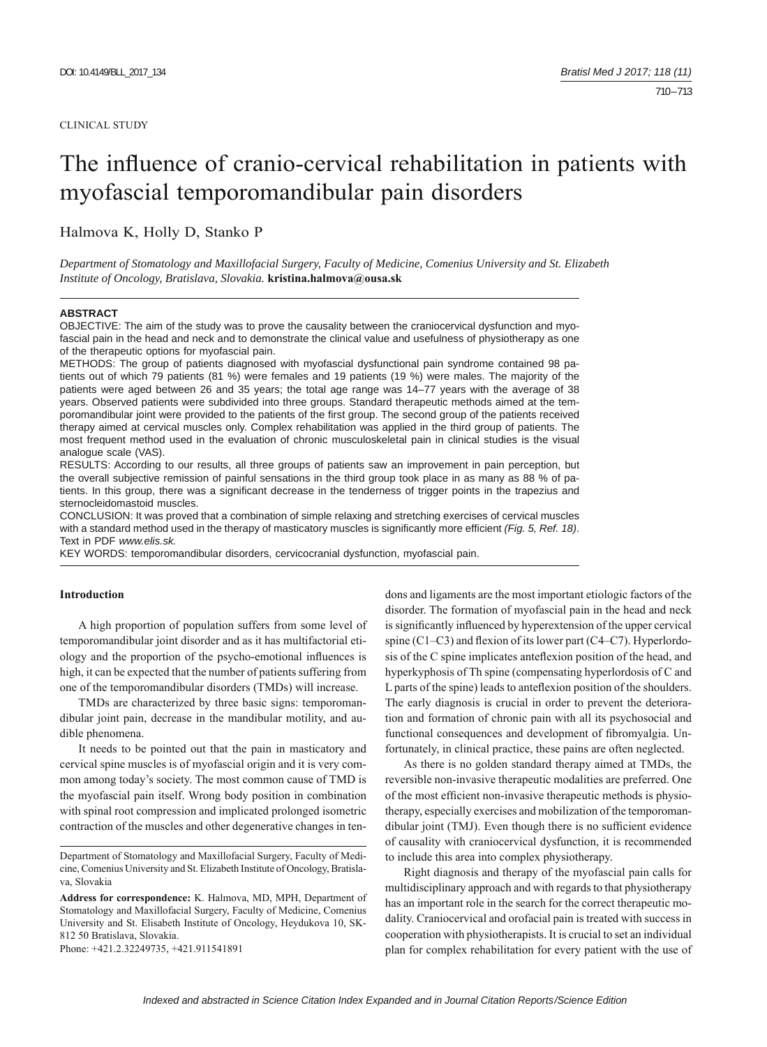#### CLINICAL STUDY

# The influence of cranio-cervical rehabilitation in patients with myofascial temporomandibular pain disorders

Halmova K, Holly D, Stanko P

*Department of Stomatology and Maxillofacial Surgery, Faculty of Medicine, Comenius University and St. Elizabeth Institute of Oncology, Bratislava, Slovakia.* **kristina.halmova@ousa.sk**

#### **ABSTRACT**

OBJECTIVE: The aim of the study was to prove the causality between the craniocervical dysfunction and myofascial pain in the head and neck and to demonstrate the clinical value and usefulness of physiotherapy as one of the therapeutic options for myofascial pain.

METHODS: The group of patients diagnosed with myofascial dysfunctional pain syndrome contained 98 patients out of which 79 patients (81 %) were females and 19 patients (19 %) were males. The majority of the patients were aged between 26 and 35 years; the total age range was 14–77 years with the average of 38 years. Observed patients were subdivided into three groups. Standard therapeutic methods aimed at the temporomandibular joint were provided to the patients of the first group. The second group of the patients received therapy aimed at cervical muscles only. Complex rehabilitation was applied in the third group of patients. The most frequent method used in the evaluation of chronic musculoskeletal pain in clinical studies is the visual analogue scale (VAS).

RESULTS: According to our results, all three groups of patients saw an improvement in pain perception, but the overall subjective remission of painful sensations in the third group took place in as many as 88 % of patients. In this group, there was a significant decrease in the tenderness of trigger points in the trapezius and sternocleidomastoid muscles.

CONCLUSION: It was proved that a combination of simple relaxing and stretching exercises of cervical muscles with a standard method used in the therapy of masticatory muscles is significantly more efficient (Fig. 5, Ref. 18). Text in PDF *www.elis.sk.*

KEY WORDS: temporomandibular disorders, cervicocranial dysfunction, myofascial pain.

# **Introduction**

A high proportion of population suffers from some level of temporomandibular joint disorder and as it has multifactorial etiology and the proportion of the psycho-emotional influences is high, it can be expected that the number of patients suffering from one of the temporomandibular disorders (TMDs) will increase.

TMDs are characterized by three basic signs: temporomandibular joint pain, decrease in the mandibular motility, and audible phenomena.

It needs to be pointed out that the pain in masticatory and cervical spine muscles is of myofascial origin and it is very common among today's society. The most common cause of TMD is the myofascial pain itself. Wrong body position in combination with spinal root compression and implicated prolonged isometric contraction of the muscles and other degenerative changes in ten-

Phone: +421.2.32249735, +421.911541891

dons and ligaments are the most important etiologic factors of the disorder. The formation of myofascial pain in the head and neck is significantly influenced by hyperextension of the upper cervical spine  $(C1-C3)$  and flexion of its lower part  $(C4-C7)$ . Hyperlordosis of the C spine implicates anteflexion position of the head, and hyperkyphosis of Th spine (compensating hyperlordosis of C and L parts of the spine) leads to anteflexion position of the shoulders. The early diagnosis is crucial in order to prevent the deterioration and formation of chronic pain with all its psychosocial and functional consequences and development of fibromyalgia. Unfortunately, in clinical practice, these pains are often neglected.

As there is no golden standard therapy aimed at TMDs, the reversible non-invasive therapeutic modalities are preferred. One of the most efficient non-invasive therapeutic methods is physiotherapy, especially exercises and mobilization of the temporomandibular joint (TMJ). Even though there is no sufficient evidence of causality with craniocervical dysfunction, it is recommended to include this area into complex physiotherapy.

Right diagnosis and therapy of the myofascial pain calls for multidisciplinary approach and with regards to that physiotherapy has an important role in the search for the correct therapeutic modality. Craniocervical and orofacial pain is treated with success in cooperation with physiotherapists. It is crucial to set an individual plan for complex rehabilitation for every patient with the use of

Department of Stomatology and Maxillofacial Surgery, Faculty of Medicine, Comenius University and St. Elizabeth Institute of Oncology, Bratislava, Slovakia

**Address for correspondence:** K. Halmova, MD, MPH, Department of Stomatology and Maxillofacial Surgery, Faculty of Medicine, Comenius University and St. Elisabeth Institute of Oncology, Heydukova 10, SK-812 50 Bratislava, Slovakia.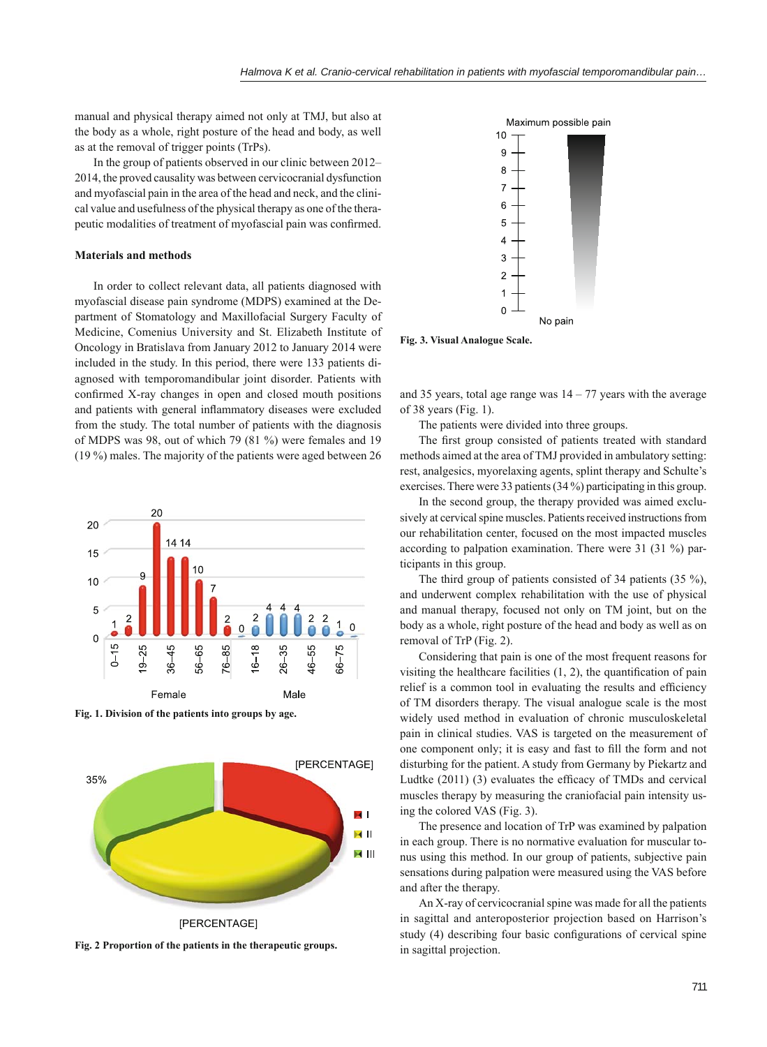manual and physical therapy aimed not only at TMJ, but also at the body as a whole, right posture of the head and body, as well as at the removal of trigger points (TrPs).

In the group of patients observed in our clinic between 2012– 2014, the proved causality was between cervicocranial dysfunction and myofascial pain in the area of the head and neck, and the clinical value and usefulness of the physical therapy as one of the therapeutic modalities of treatment of myofascial pain was confirmed.

# **Materials and methods**

In order to collect relevant data, all patients diagnosed with myofascial disease pain syndrome (MDPS) examined at the Department of Stomatology and Maxillofacial Surgery Faculty of Medicine, Comenius University and St. Elizabeth Institute of Oncology in Bratislava from January 2012 to January 2014 were included in the study. In this period, there were 133 patients diagnosed with temporomandibular joint disorder. Patients with confirmed X-ray changes in open and closed mouth positions and patients with general inflammatory diseases were excluded from the study. The total number of patients with the diagnosis of MDPS was 98, out of which 79 (81 %) were females and 19 (19 %) males. The majority of the patients were aged between 26



**Fig. 1. Division of the patients into groups by age.**



**Fig. 2 Proportion of the patients in the therapeutic groups.**



**Fig. 3. Visual Analogue Scale.**

and 35 years, total age range was  $14 - 77$  years with the average of 38 years (Fig. 1).

The patients were divided into three groups.

The first group consisted of patients treated with standard methods aimed at the area of TMJ provided in ambulatory setting: rest, analgesics, myorelaxing agents, splint therapy and Schulte's exercises. There were 33 patients (34 %) participating in this group.

In the second group, the therapy provided was aimed exclusively at cervical spine muscles. Patients received instructions from our rehabilitation center, focused on the most impacted muscles according to palpation examination. There were 31 (31 %) participants in this group.

The third group of patients consisted of 34 patients (35 %), and underwent complex rehabilitation with the use of physical and manual therapy, focused not only on TM joint, but on the body as a whole, right posture of the head and body as well as on removal of TrP (Fig. 2).

Considering that pain is one of the most frequent reasons for visiting the healthcare facilities  $(1, 2)$ , the quantification of pain relief is a common tool in evaluating the results and efficiency of TM disorders therapy. The visual analogue scale is the most widely used method in evaluation of chronic musculoskeletal pain in clinical studies. VAS is targeted on the measurement of one component only; it is easy and fast to fill the form and not disturbing for the patient. A study from Germany by Piekartz and Ludtke  $(2011)$   $(3)$  evaluates the efficacy of TMDs and cervical muscles therapy by measuring the craniofacial pain intensity using the colored VAS (Fig. 3).

The presence and location of TrP was examined by palpation in each group. There is no normative evaluation for muscular tonus using this method. In our group of patients, subjective pain sensations during palpation were measured using the VAS before and after the therapy.

An X-ray of cervicocranial spine was made for all the patients in sagittal and anteroposterior projection based on Harrison's study (4) describing four basic configurations of cervical spine in sagittal projection.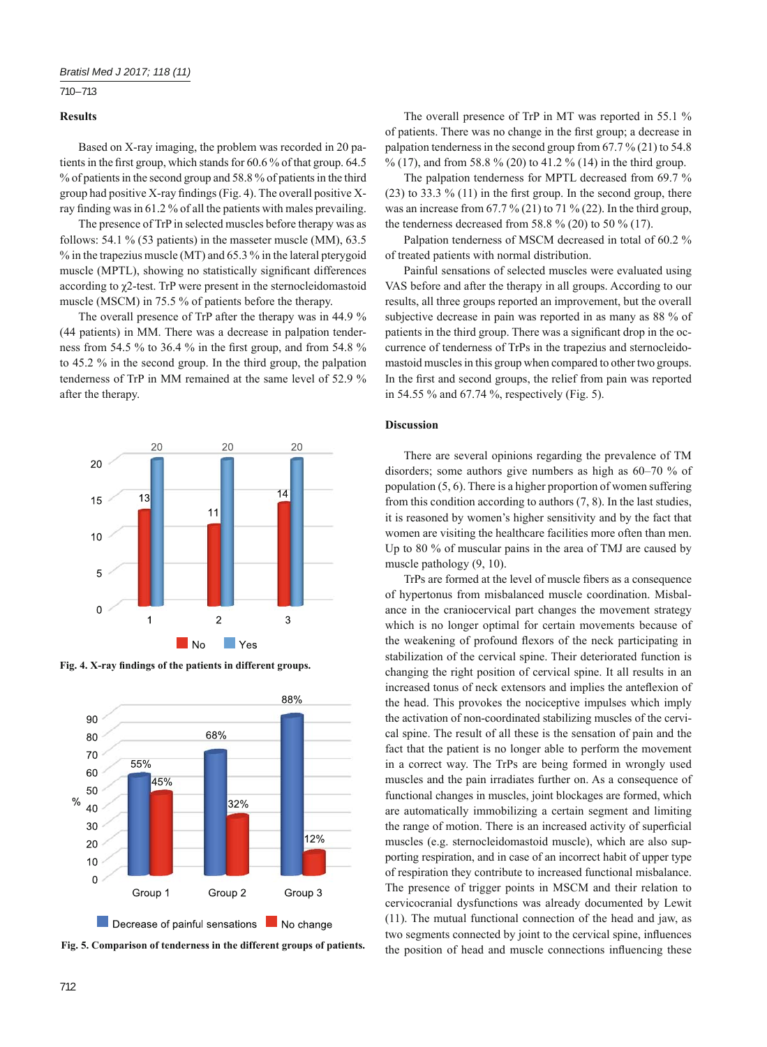# 710 – 713

#### **Results**

Based on X-ray imaging, the problem was recorded in 20 patients in the first group, which stands for  $60.6\%$  of that group.  $64.5$ % of patients in the second group and 58.8 % of patients in the third group had positive X-ray findings (Fig. 4). The overall positive Xray finding was in 61.2% of all the patients with males prevailing.

The presence of TrP in selected muscles before therapy was as follows:  $54.1\%$  (53 patients) in the masseter muscle (MM), 63.5 % in the trapezius muscle (MT) and 65.3 % in the lateral pterygoid muscle (MPTL), showing no statistically significant differences according to χ2-test. TrP were present in the sternocleidomastoid muscle (MSCM) in 75.5 % of patients before the therapy.

The overall presence of TrP after the therapy was in 44.9 % (44 patients) in MM. There was a decrease in palpation tenderness from 54.5 % to 36.4 % in the first group, and from 54.8 % to 45.2 % in the second group. In the third group, the palpation tenderness of TrP in MM remained at the same level of 52.9 % after the therapy.



Fig. 4. X-ray findings of the patients in different groups.



**Fig. 5. Comparison of tenderness in the different groups of patients.**

The overall presence of TrP in MT was reported in 55.1 % of patients. There was no change in the first group; a decrease in palpation tenderness in the second group from 67.7 % (21) to 54.8 % (17), and from 58.8 % (20) to 41.2 % (14) in the third group.

The palpation tenderness for MPTL decreased from 69.7 %  $(23)$  to 33.3 %  $(11)$  in the first group. In the second group, there was an increase from  $67.7\%$  (21) to  $71\%$  (22). In the third group, the tenderness decreased from 58.8  $\%$  (20) to 50  $\%$  (17).

Palpation tenderness of MSCM decreased in total of 60.2 % of treated patients with normal distribution.

Painful sensations of selected muscles were evaluated using VAS before and after the therapy in all groups. According to our results, all three groups reported an improvement, but the overall subjective decrease in pain was reported in as many as 88 % of patients in the third group. There was a significant drop in the occurrence of tenderness of TrPs in the trapezius and sternocleidomastoid muscles in this group when compared to other two groups. In the first and second groups, the relief from pain was reported in 54.55 % and 67.74 %, respectively (Fig. 5).

## **Discussion**

There are several opinions regarding the prevalence of TM disorders; some authors give numbers as high as 60–70 % of population (5, 6). There is a higher proportion of women suffering from this condition according to authors (7, 8). In the last studies, it is reasoned by women's higher sensitivity and by the fact that women are visiting the healthcare facilities more often than men. Up to 80 % of muscular pains in the area of TMJ are caused by muscle pathology (9, 10).

TrPs are formed at the level of muscle fibers as a consequence of hypertonus from misbalanced muscle coordination. Misbalance in the craniocervical part changes the movement strategy which is no longer optimal for certain movements because of the weakening of profound flexors of the neck participating in stabilization of the cervical spine. Their deteriorated function is changing the right position of cervical spine. It all results in an increased tonus of neck extensors and implies the anteflexion of the head. This provokes the nociceptive impulses which imply the activation of non-coordinated stabilizing muscles of the cervical spine. The result of all these is the sensation of pain and the fact that the patient is no longer able to perform the movement in a correct way. The TrPs are being formed in wrongly used muscles and the pain irradiates further on. As a consequence of functional changes in muscles, joint blockages are formed, which are automatically immobilizing a certain segment and limiting the range of motion. There is an increased activity of superficial muscles (e.g. sternocleidomastoid muscle), which are also supporting respiration, and in case of an incorrect habit of upper type of respiration they contribute to increased functional misbalance. The presence of trigger points in MSCM and their relation to cervicocranial dysfunctions was already documented by Lewit (11). The mutual functional connection of the head and jaw, as two segments connected by joint to the cervical spine, influences the position of head and muscle connections influencing these